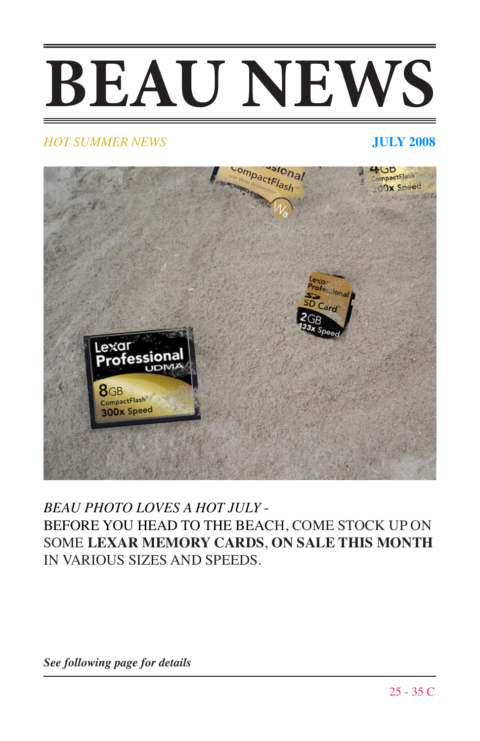## **BEAU NEWS**

## *HOT SUMMER NEWS* **JULY 2008**



## *BEAU PHOTO LOVES A HOT JULY* - BEFORE YOU HEAD TO THE BEACH, COME STOCK UP ON SOME **LEXAR MEMORY CARDS**, **ON SALE THIS MONTH** IN VARIOUS SIZES AND SPEEDS.

*See following page for details*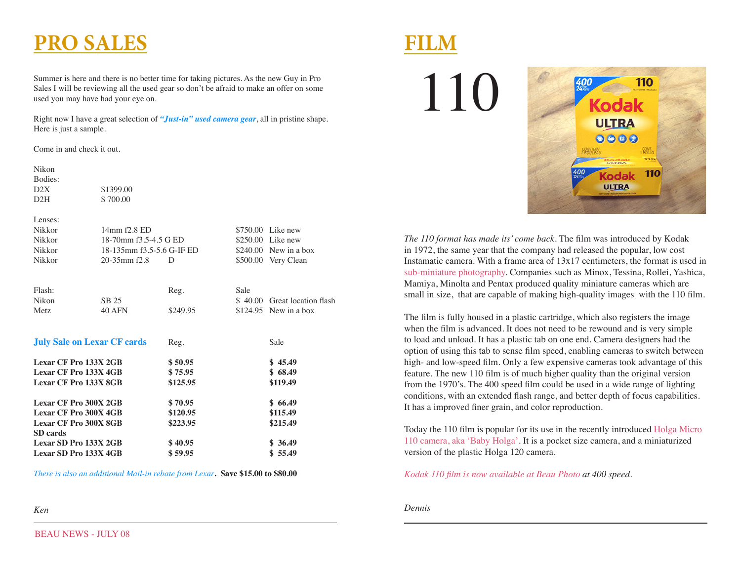## **PRO SALES**

Summer is here and there is no better time for taking pictures. As the new Guy in Pro Sales I will be reviewing all the used gear so don't be afraid to make an offer on some used you may have had your eye on.

Right now I have a great selection of *"Just-in" used camera gear*, all in pristine shape. Here is just a sample.

Come in and check it out.

Nikon

| Bodies:                            |                           |          |                    |                              |
|------------------------------------|---------------------------|----------|--------------------|------------------------------|
| D2X                                | \$1399.00                 |          |                    |                              |
| D2H                                | \$700.00                  |          |                    |                              |
| Lenses:                            |                           |          |                    |                              |
| Nikkor                             | 14mm f2.8 ED              |          |                    | \$750.00 Like new            |
| Nikkor                             | 18-70mm f3.5-4.5 G ED     |          | $$250.00$ Like new |                              |
| Nikkor                             | 18-135mm f3.5-5.6 G-IF ED |          |                    | $$240.00$ New in a box       |
| Nikkor                             | $20 - 35$ mm $f2.8$       | D        |                    | \$500.00 Very Clean          |
|                                    |                           |          |                    |                              |
| Flash:                             |                           | Reg.     | Sale               |                              |
| <b>Nikon</b>                       | SB 25                     |          |                    | \$40.00 Great location flash |
| Metz.                              | <b>40 AFN</b>             | \$249.95 |                    | $$124.95$ New in a box       |
| <b>July Sale on Lexar CF cards</b> |                           | Reg.     |                    | Sale                         |
| Lexar CF Pro 133X 2GB              |                           | \$50.95  |                    | \$45.49                      |
| Lexar CF Pro 133X 4GB              |                           | \$75.95  |                    | \$68.49                      |
| Lexar CF Pro 133X 8GB              |                           | \$125.95 |                    | \$119.49                     |
| <b>Lexar CF Pro 300X 2GB</b>       |                           | \$70.95  |                    | \$66.49                      |
| <b>Lexar CF Pro 300X 4GB</b>       |                           | \$120.95 |                    | \$115.49                     |
| <b>Lexar CF Pro 300X 8GB</b>       |                           | \$223.95 |                    | \$215.49                     |
| SD cards                           |                           |          |                    |                              |
| Lexar SD Pro 133X 2GB              |                           | \$40.95  |                    | \$36.49                      |
| Lexar SD Pro 133X 4GB              |                           | \$59.95  |                    | \$55.49                      |
|                                    |                           |          |                    |                              |

*There is also an additional Mail-in rebate from Lexar***. Save \$15.00 to \$80.00**

## *Ken*

110

**FILM**



*The 110 format has made its' come back*. The film was introduced by Kodak in 1972, the same year that the company had released the popular, low cost Instamatic camera. With a frame area of 13x17 centimeters, the format is used in sub-miniature photography. Companies such as Minox, Tessina, Rollei, Yashica, Mamiya, Minolta and Pentax produced quality miniature cameras which are small in size, that are capable of making high-quality images with the 110 film.

The film is fully housed in a plastic cartridge, which also registers the image when the film is advanced. It does not need to be rewound and is very simple to load and unload. It has a plastic tab on one end. Camera designers had the option of using this tab to sense film speed, enabling cameras to switch between high- and low-speed film. Only a few expensive cameras took advantage of this feature. The new 110 film is of much higher quality than the original version from the 1970's. The 400 speed film could be used in a wide range of lighting conditions, with an extended flash range, and better depth of focus capabilities. It has a improved finer grain, and color reproduction.

Today the 110 film is popular for its use in the recently introduced Holga Micro 110 camera, aka 'Baby Holga'. It is a pocket size camera, and a miniaturized version of the plastic Holga 120 camera.

*Kodak 110 film is now available at Beau Photo at 400 speed*.

*Dennis*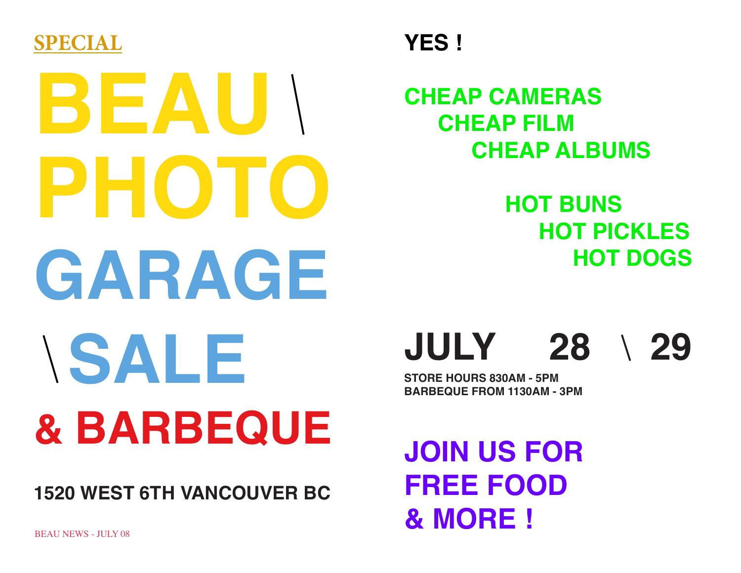

# **BEAU PHOTO GARAGE SALE & BARBEQUE**

**1520 WEST 6TH VANCOUVER BC**

**CHEAP CAMERAS CHEAP FILM CHEAP ALBUMS**

> **HOT BUNS HOT PICKLES HOT DOGS**

**JULY 28 29**

**STORE HOURS 830AM - 5PM BARBEQUE FROM 1130AM - 3PM**

**JOIN US FOR FREE FOOD & MORE !**

BEAU NEWS - HH Y 08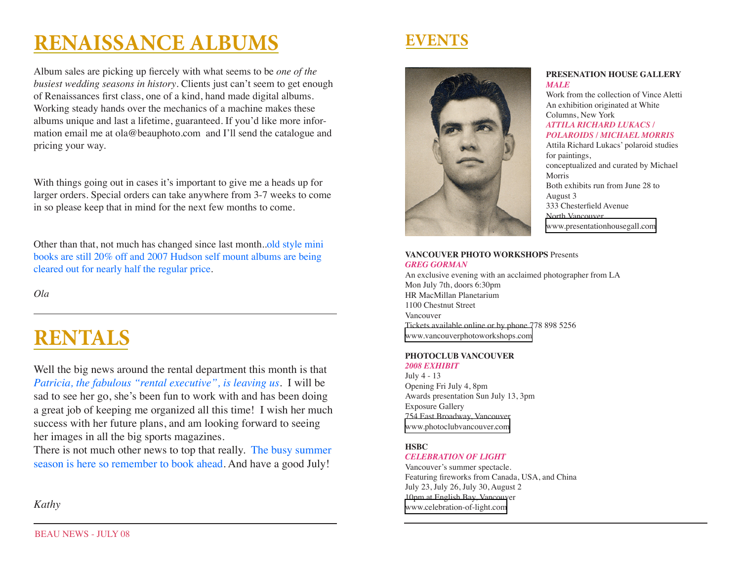## **RENAISSANCE ALBUMS**

Album sales are picking up fiercely with what seems to be *one of the busiest wedding seasons in history*. Clients just can't seem to get enough of Renaissances first class, one of a kind, hand made digital albums. Working steady hands over the mechanics of a machine makes these albums unique and last a lifetime, guaranteed. If you'd like more information email me at ola@beauphoto.com and I'll send the catalogue and pricing your way.

With things going out in cases it's important to give me a heads up for larger orders. Special orders can take anywhere from 3-7 weeks to come in so please keep that in mind for the next few months to come.

Other than that, not much has changed since last month..old style mini books are still 20% off and 2007 Hudson self mount albums are being cleared out for nearly half the regular price.

*Ola*

## **RENTALS**

Well the big news around the rental department this month is that *Patricia, the fabulous "rental executive", is leaving us*. I will be sad to see her go, she's been fun to work with and has been doing a great job of keeping me organized all this time! I wish her much success with her future plans, and am looking forward to seeing her images in all the big sports magazines.

There is not much other news to top that really. The busy summer season is here so remember to book ahead. And have a good July!

## *Kathy*





## **PRESENATION HOUSE GALLERY** *MALE*

Work from the collection of Vince Aletti An exhibition originated at White Columns, New York *ATTILA RICHARD LUKACS / POLAROIDS / MICHAEL MORRIS* Attila Richard Lukacs' polaroid studies for paintings, conceptualized and curated by Michael Morris Both exhibits run from June 28 to August 3 333 Chesterfield Avenue North Vancouver

[www.presentationhousegall.com](http://www.presentationhousegall.com)

#### **VANCOUVER PHOTO WORKSHOPS** Presents *GREG GORMAN*

An exclusive evening with an acclaimed photographer from LA Mon July 7th, doors 6:30pm HR MacMillan Planetarium 1100 Chestnut Street Vancouver Tickets available online or by phone 778 898 5256 [www.vancouverphotoworkshops.com](http://www.vancouverphotoworkshops.com)

## **PHOTOCLUB VANCOUVER**

*2008 EXHIBIT* July 4 - 13 Opening Fri July 4, 8pm Awards presentation Sun July 13, 3pm Exposure Gallery 754 East Broadway, Vancouver [www.photoclubvancouver.com](http://www.photoclubvancouver.com)

## **HSBC**

#### *CELEBRATION OF LIGHT*

Vancouver's summer spectacle. Featuring fireworks from Canada, USA, and China July 23, July 26, July 30, August 2 10pm at English Bay, Vancouver [www.celebration-of-light.com](http://www.celebration-of-light.com)